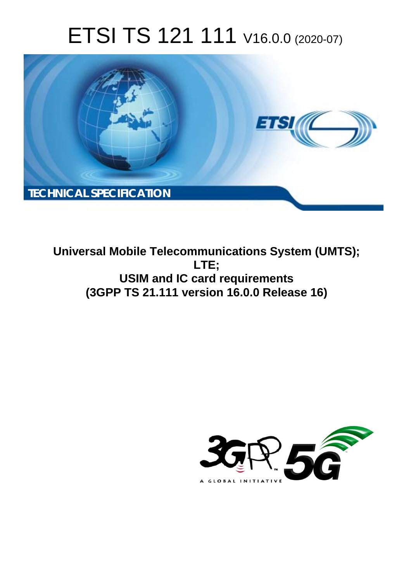# ETSI TS 121 111 V16.0.0 (2020-07)



**Universal Mobile Telecommunications System (UMTS); LTE; USIM and IC card requirements (3GPP TS 21.111 version 16.0.0 Release 16)** 

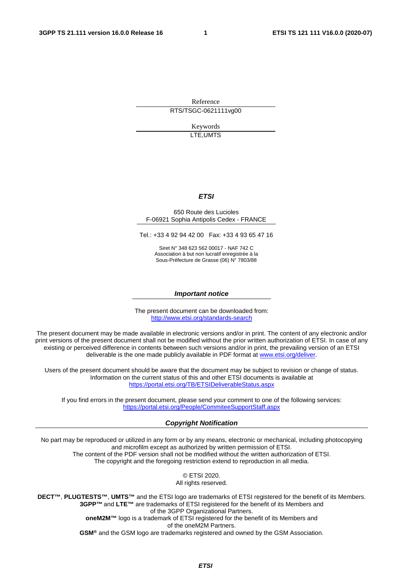Reference RTS/TSGC-0621111vg00

> Keywords LTE,UMTS

#### *ETSI*

#### 650 Route des Lucioles F-06921 Sophia Antipolis Cedex - FRANCE

Tel.: +33 4 92 94 42 00 Fax: +33 4 93 65 47 16

Siret N° 348 623 562 00017 - NAF 742 C Association à but non lucratif enregistrée à la Sous-Préfecture de Grasse (06) N° 7803/88

#### *Important notice*

The present document can be downloaded from: <http://www.etsi.org/standards-search>

The present document may be made available in electronic versions and/or in print. The content of any electronic and/or print versions of the present document shall not be modified without the prior written authorization of ETSI. In case of any existing or perceived difference in contents between such versions and/or in print, the prevailing version of an ETSI deliverable is the one made publicly available in PDF format at [www.etsi.org/deliver](http://www.etsi.org/deliver).

Users of the present document should be aware that the document may be subject to revision or change of status. Information on the current status of this and other ETSI documents is available at <https://portal.etsi.org/TB/ETSIDeliverableStatus.aspx>

If you find errors in the present document, please send your comment to one of the following services: <https://portal.etsi.org/People/CommiteeSupportStaff.aspx>

#### *Copyright Notification*

No part may be reproduced or utilized in any form or by any means, electronic or mechanical, including photocopying and microfilm except as authorized by written permission of ETSI. The content of the PDF version shall not be modified without the written authorization of ETSI. The copyright and the foregoing restriction extend to reproduction in all media.

> © ETSI 2020. All rights reserved.

**DECT™**, **PLUGTESTS™**, **UMTS™** and the ETSI logo are trademarks of ETSI registered for the benefit of its Members. **3GPP™** and **LTE™** are trademarks of ETSI registered for the benefit of its Members and of the 3GPP Organizational Partners. **oneM2M™** logo is a trademark of ETSI registered for the benefit of its Members and of the oneM2M Partners. **GSM®** and the GSM logo are trademarks registered and owned by the GSM Association.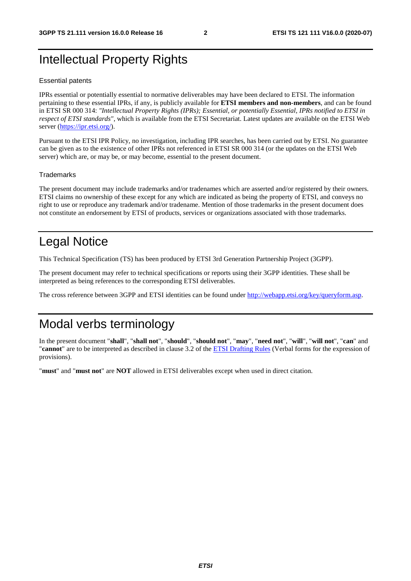# Intellectual Property Rights

#### Essential patents

IPRs essential or potentially essential to normative deliverables may have been declared to ETSI. The information pertaining to these essential IPRs, if any, is publicly available for **ETSI members and non-members**, and can be found in ETSI SR 000 314: *"Intellectual Property Rights (IPRs); Essential, or potentially Essential, IPRs notified to ETSI in respect of ETSI standards"*, which is available from the ETSI Secretariat. Latest updates are available on the ETSI Web server [\(https://ipr.etsi.org/](https://ipr.etsi.org/)).

Pursuant to the ETSI IPR Policy, no investigation, including IPR searches, has been carried out by ETSI. No guarantee can be given as to the existence of other IPRs not referenced in ETSI SR 000 314 (or the updates on the ETSI Web server) which are, or may be, or may become, essential to the present document.

#### **Trademarks**

The present document may include trademarks and/or tradenames which are asserted and/or registered by their owners. ETSI claims no ownership of these except for any which are indicated as being the property of ETSI, and conveys no right to use or reproduce any trademark and/or tradename. Mention of those trademarks in the present document does not constitute an endorsement by ETSI of products, services or organizations associated with those trademarks.

# Legal Notice

This Technical Specification (TS) has been produced by ETSI 3rd Generation Partnership Project (3GPP).

The present document may refer to technical specifications or reports using their 3GPP identities. These shall be interpreted as being references to the corresponding ETSI deliverables.

The cross reference between 3GPP and ETSI identities can be found under<http://webapp.etsi.org/key/queryform.asp>.

# Modal verbs terminology

In the present document "**shall**", "**shall not**", "**should**", "**should not**", "**may**", "**need not**", "**will**", "**will not**", "**can**" and "**cannot**" are to be interpreted as described in clause 3.2 of the [ETSI Drafting Rules](https://portal.etsi.org/Services/editHelp!/Howtostart/ETSIDraftingRules.aspx) (Verbal forms for the expression of provisions).

"**must**" and "**must not**" are **NOT** allowed in ETSI deliverables except when used in direct citation.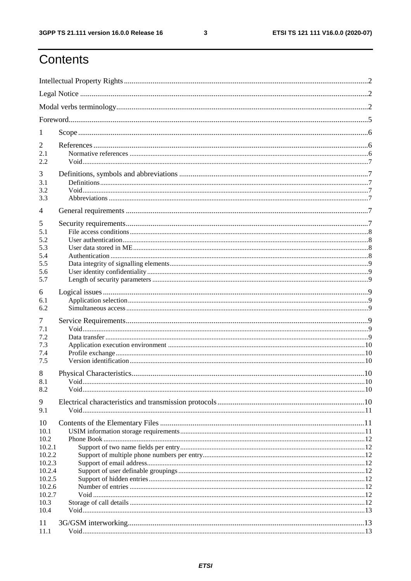$\mathbf{3}$ 

# Contents

| 1                |  |  |  |  |  |
|------------------|--|--|--|--|--|
| 2                |  |  |  |  |  |
| 2.1              |  |  |  |  |  |
| 2.2              |  |  |  |  |  |
| 3                |  |  |  |  |  |
| 3.1<br>3.2       |  |  |  |  |  |
| 3.3              |  |  |  |  |  |
| $\overline{4}$   |  |  |  |  |  |
| 5                |  |  |  |  |  |
| 5.1              |  |  |  |  |  |
| 5.2<br>5.3       |  |  |  |  |  |
| 5.4              |  |  |  |  |  |
| 5.5              |  |  |  |  |  |
| 5.6<br>5.7       |  |  |  |  |  |
|                  |  |  |  |  |  |
| 6<br>6.1         |  |  |  |  |  |
| 6.2              |  |  |  |  |  |
| 7                |  |  |  |  |  |
| 7.1              |  |  |  |  |  |
| 7.2              |  |  |  |  |  |
| 7.3<br>7.4       |  |  |  |  |  |
| 7.5              |  |  |  |  |  |
| 8                |  |  |  |  |  |
| 8.1              |  |  |  |  |  |
| 8.2              |  |  |  |  |  |
| 9                |  |  |  |  |  |
| 9.1              |  |  |  |  |  |
| 10               |  |  |  |  |  |
| 10.1<br>10.2     |  |  |  |  |  |
| 10.2.1           |  |  |  |  |  |
| 10.2.2           |  |  |  |  |  |
| 10.2.3           |  |  |  |  |  |
| 10.2.4           |  |  |  |  |  |
| 10.2.5<br>10.2.6 |  |  |  |  |  |
| 10.2.7           |  |  |  |  |  |
| 10.3             |  |  |  |  |  |
| 10.4             |  |  |  |  |  |
| 11               |  |  |  |  |  |
| 11.1             |  |  |  |  |  |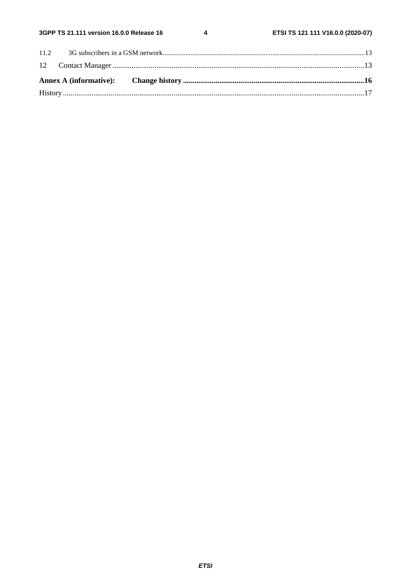$\overline{\mathbf{4}}$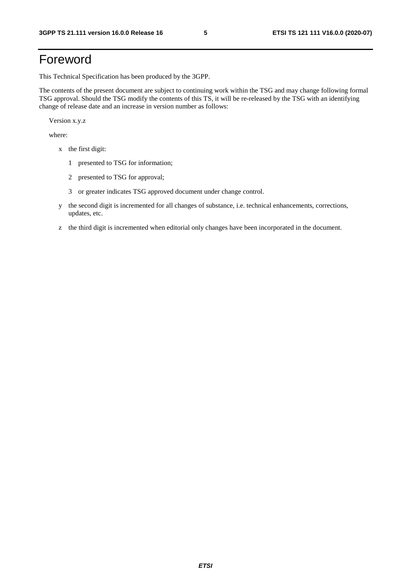# Foreword

This Technical Specification has been produced by the 3GPP.

The contents of the present document are subject to continuing work within the TSG and may change following formal TSG approval. Should the TSG modify the contents of this TS, it will be re-released by the TSG with an identifying change of release date and an increase in version number as follows:

Version x.y.z

where:

- x the first digit:
	- 1 presented to TSG for information;
	- 2 presented to TSG for approval;
	- 3 or greater indicates TSG approved document under change control.
- y the second digit is incremented for all changes of substance, i.e. technical enhancements, corrections, updates, etc.
- z the third digit is incremented when editorial only changes have been incorporated in the document.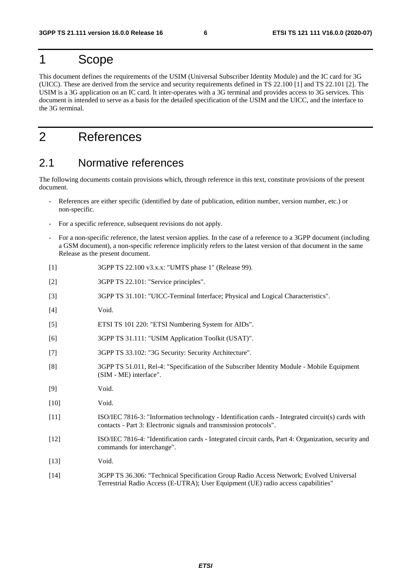# 1 Scope

This document defines the requirements of the USIM (Universal Subscriber Identity Module) and the IC card for 3G (UICC). These are derived from the service and security requirements defined in TS 22.100 [1] and TS 22.101 [2]. The USIM is a 3G application on an IC card. It inter-operates with a 3G terminal and provides access to 3G services. This document is intended to serve as a basis for the detailed specification of the USIM and the UICC, and the interface to the 3G terminal.

# 2 References

### 2.1 Normative references

The following documents contain provisions which, through reference in this text, constitute provisions of the present document.

- References are either specific (identified by date of publication, edition number, version number, etc.) or non-specific.
- For a specific reference, subsequent revisions do not apply.
- For a non-specific reference, the latest version applies. In the case of a reference to a 3GPP document (including a GSM document), a non-specific reference implicitly refers to the latest version of that document in the same Release as the present document.
- [1] 3GPP TS 22.100 v3.x.x: "UMTS phase 1" (Release 99).
- [2] 3GPP TS 22.101: "Service principles".
- [3] 3GPP TS 31.101: "UICC-Terminal Interface; Physical and Logical Characteristics".
- [4] Void.
- [5] ETSI TS 101 220: "ETSI Numbering System for AIDs".
- [6] 3GPP TS 31.111: "USIM Application Toolkit (USAT)".
- [7] 3GPP TS 33.102: "3G Security: Security Architecture".
- [8] 3GPP TS 51.011, Rel-4: "Specification of the Subscriber Identity Module Mobile Equipment (SIM - ME) interface".
- [9] Void.
- [10] **Void.**
- [11] ISO/IEC 7816-3: "Information technology Identification cards Integrated circuit(s) cards with contacts - Part 3: Electronic signals and transmission protocols".
- [12] ISO/IEC 7816-4: "Identification cards Integrated circuit cards, Part 4: Organization, security and commands for interchange".
- [13] **Void.**
- [14] 3GPP TS 36.306: "Technical Specification Group Radio Access Network; Evolved Universal Terrestrial Radio Access (E-UTRA); User Equipment (UE) radio access capabilities"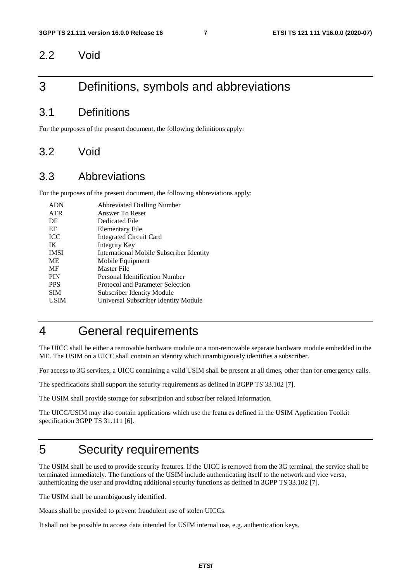### 2.2 Void

# 3 Definitions, symbols and abbreviations

### 3.1 Definitions

For the purposes of the present document, the following definitions apply:

### 3.2 Void

### 3.3 Abbreviations

For the purposes of the present document, the following abbreviations apply:

| <b>ADN</b>  | <b>Abbreviated Dialling Number</b>       |
|-------------|------------------------------------------|
| <b>ATR</b>  | Answer To Reset                          |
| DF          | Dedicated File                           |
| EF          | Elementary File                          |
| <b>ICC</b>  | <b>Integrated Circuit Card</b>           |
| IK          | Integrity Key                            |
| <b>IMSI</b> | International Mobile Subscriber Identity |
| <b>ME</b>   | Mobile Equipment                         |
| MF          | Master File                              |
| <b>PIN</b>  | Personal Identification Number           |
| <b>PPS</b>  | Protocol and Parameter Selection         |
| <b>SIM</b>  | Subscriber Identity Module               |
| <b>USIM</b> | Universal Subscriber Identity Module     |
|             |                                          |

# 4 General requirements

The UICC shall be either a removable hardware module or a non-removable separate hardware module embedded in the ME. The USIM on a UICC shall contain an identity which unambiguously identifies a subscriber.

For access to 3G services, a UICC containing a valid USIM shall be present at all times, other than for emergency calls.

The specifications shall support the security requirements as defined in 3GPP TS 33.102 [7].

The USIM shall provide storage for subscription and subscriber related information.

The UICC/USIM may also contain applications which use the features defined in the USIM Application Toolkit specification 3GPP TS 31.111 [6].

# 5 Security requirements

The USIM shall be used to provide security features. If the UICC is removed from the 3G terminal, the service shall be terminated immediately. The functions of the USIM include authenticating itself to the network and vice versa, authenticating the user and providing additional security functions as defined in 3GPP TS 33.102 [7].

The USIM shall be unambiguously identified.

Means shall be provided to prevent fraudulent use of stolen UICCs.

It shall not be possible to access data intended for USIM internal use, e.g. authentication keys.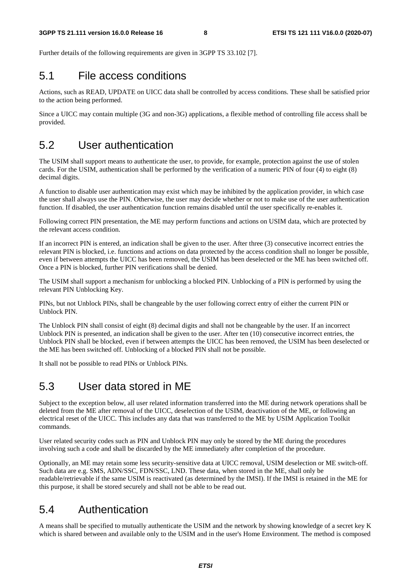Further details of the following requirements are given in 3GPP TS 33.102 [7].

### 5.1 File access conditions

Actions, such as READ, UPDATE on UICC data shall be controlled by access conditions. These shall be satisfied prior to the action being performed.

Since a UICC may contain multiple (3G and non-3G) applications, a flexible method of controlling file access shall be provided.

# 5.2 User authentication

The USIM shall support means to authenticate the user, to provide, for example, protection against the use of stolen cards. For the USIM, authentication shall be performed by the verification of a numeric PIN of four (4) to eight (8) decimal digits.

A function to disable user authentication may exist which may be inhibited by the application provider, in which case the user shall always use the PIN. Otherwise, the user may decide whether or not to make use of the user authentication function. If disabled, the user authentication function remains disabled until the user specifically re-enables it.

Following correct PIN presentation, the ME may perform functions and actions on USIM data, which are protected by the relevant access condition.

If an incorrect PIN is entered, an indication shall be given to the user. After three (3) consecutive incorrect entries the relevant PIN is blocked, i.e. functions and actions on data protected by the access condition shall no longer be possible, even if between attempts the UICC has been removed, the USIM has been deselected or the ME has been switched off. Once a PIN is blocked, further PIN verifications shall be denied.

The USIM shall support a mechanism for unblocking a blocked PIN. Unblocking of a PIN is performed by using the relevant PIN Unblocking Key.

PINs, but not Unblock PINs, shall be changeable by the user following correct entry of either the current PIN or Unblock PIN.

The Unblock PIN shall consist of eight (8) decimal digits and shall not be changeable by the user. If an incorrect Unblock PIN is presented, an indication shall be given to the user. After ten (10) consecutive incorrect entries, the Unblock PIN shall be blocked, even if between attempts the UICC has been removed, the USIM has been deselected or the ME has been switched off. Unblocking of a blocked PIN shall not be possible.

It shall not be possible to read PINs or Unblock PINs.

# 5.3 User data stored in ME

Subject to the exception below, all user related information transferred into the ME during network operations shall be deleted from the ME after removal of the UICC, deselection of the USIM, deactivation of the ME, or following an electrical reset of the UICC. This includes any data that was transferred to the ME by USIM Application Toolkit commands.

User related security codes such as PIN and Unblock PIN may only be stored by the ME during the procedures involving such a code and shall be discarded by the ME immediately after completion of the procedure.

Optionally, an ME may retain some less security-sensitive data at UICC removal, USIM deselection or ME switch-off. Such data are e.g. SMS, ADN/SSC, FDN/SSC, LND. These data, when stored in the ME, shall only be readable/retrievable if the same USIM is reactivated (as determined by the IMSI). If the IMSI is retained in the ME for this purpose, it shall be stored securely and shall not be able to be read out.

# 5.4 Authentication

A means shall be specified to mutually authenticate the USIM and the network by showing knowledge of a secret key K which is shared between and available only to the USIM and in the user's Home Environment. The method is composed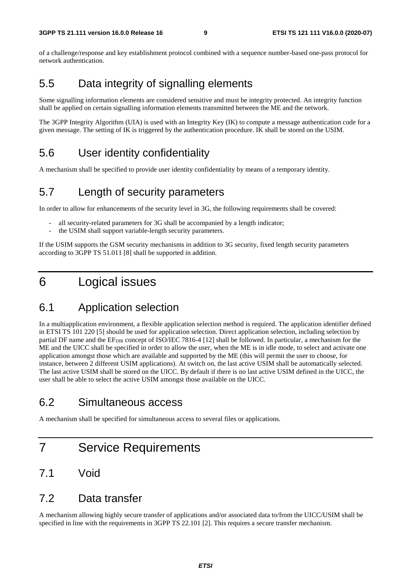of a challenge/response and key establishment protocol combined with a sequence number-based one-pass protocol for network authentication.

# 5.5 Data integrity of signalling elements

Some signalling information elements are considered sensitive and must be integrity protected. An integrity function shall be applied on certain signalling information elements transmitted between the ME and the network.

The 3GPP Integrity Algorithm (UIA) is used with an Integrity Key (IK) to compute a message authentication code for a given message. The setting of IK is triggered by the authentication procedure. IK shall be stored on the USIM.

# 5.6 User identity confidentiality

A mechanism shall be specified to provide user identity confidentiality by means of a temporary identity.

### 5.7 Length of security parameters

In order to allow for enhancements of the security level in 3G, the following requirements shall be covered:

- all security-related parameters for 3G shall be accompanied by a length indicator;
- the USIM shall support variable-length security parameters.

If the USIM supports the GSM security mechanisms in addition to 3G security, fixed length security parameters according to 3GPP TS 51.011 [8] shall be supported in addition.

# 6 Logical issues

# 6.1 Application selection

In a multiapplication environment, a flexible application selection method is required. The application identifier defined in ETSI TS 101 220 [5] should be used for application selection. Direct application selection, including selection by partial DF name and the EF<sub>DIR</sub> concept of ISO/IEC 7816-4 [12] shall be followed. In particular, a mechanism for the ME and the UICC shall be specified in order to allow the user, when the ME is in idle mode, to select and activate one application amongst those which are available and supported by the ME (this will permit the user to choose, for instance, between 2 different USIM applications). At switch on, the last active USIM shall be automatically selected. The last active USIM shall be stored on the UICC. By default if there is no last active USIM defined in the UICC, the user shall be able to select the active USIM amongst those available on the UICC.

# 6.2 Simultaneous access

A mechanism shall be specified for simultaneous access to several files or applications.

# 7 Service Requirements

### 7.1 Void

### 7.2 Data transfer

A mechanism allowing highly secure transfer of applications and/or associated data to/from the UICC/USIM shall be specified in line with the requirements in 3GPP TS 22.101 [2]. This requires a secure transfer mechanism.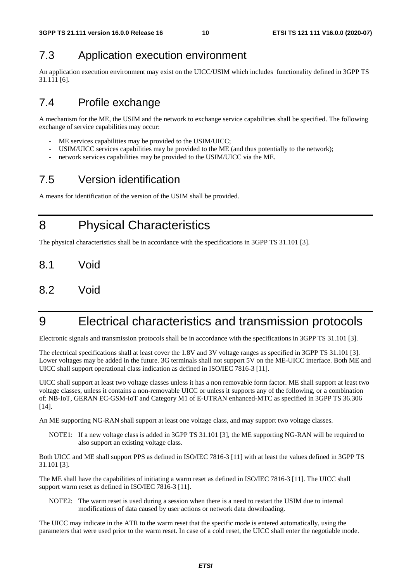# 7.3 Application execution environment

An application execution environment may exist on the UICC/USIM which includes functionality defined in 3GPP TS 31.111 [6].

# 7.4 Profile exchange

A mechanism for the ME, the USIM and the network to exchange service capabilities shall be specified. The following exchange of service capabilities may occur:

- ME services capabilities may be provided to the USIM/UICC;
- USIM/UICC services capabilities may be provided to the ME (and thus potentially to the network);
- network services capabilities may be provided to the USIM/UICC via the ME.

# 7.5 Version identification

A means for identification of the version of the USIM shall be provided.

8 Physical Characteristics

The physical characteristics shall be in accordance with the specifications in 3GPP TS 31.101 [3].

- 8.1 Void
- 8.2 Void

# 9 Electrical characteristics and transmission protocols

Electronic signals and transmission protocols shall be in accordance with the specifications in 3GPP TS 31.101 [3].

The electrical specifications shall at least cover the 1.8V and 3V voltage ranges as specified in 3GPP TS 31.101 [3]. Lower voltages may be added in the future. 3G terminals shall not support 5V on the ME-UICC interface. Both ME and UICC shall support operational class indication as defined in ISO/IEC 7816-3 [11].

UICC shall support at least two voltage classes unless it has a non removable form factor. ME shall support at least two voltage classes, unless it contains a non-removable UICC or unless it supports any of the following, or a combination of: NB-IoT, GERAN EC-GSM-IoT and Category M1 of E-UTRAN enhanced-MTC as specified in 3GPP TS 36.306 [14].

An ME supporting NG-RAN shall support at least one voltage class, and may support two voltage classes.

NOTE1: If a new voltage class is added in 3GPP TS 31.101 [3], the ME supporting NG-RAN will be required to also support an existing voltage class.

Both UICC and ME shall support PPS as defined in ISO/IEC 7816-3 [11] with at least the values defined in 3GPP TS 31.101 [3].

The ME shall have the capabilities of initiating a warm reset as defined in ISO/IEC 7816-3 [11]. The UICC shall support warm reset as defined in ISO/IEC 7816-3 [11].

NOTE2: The warm reset is used during a session when there is a need to restart the USIM due to internal modifications of data caused by user actions or network data downloading.

The UICC may indicate in the ATR to the warm reset that the specific mode is entered automatically, using the parameters that were used prior to the warm reset. In case of a cold reset, the UICC shall enter the negotiable mode.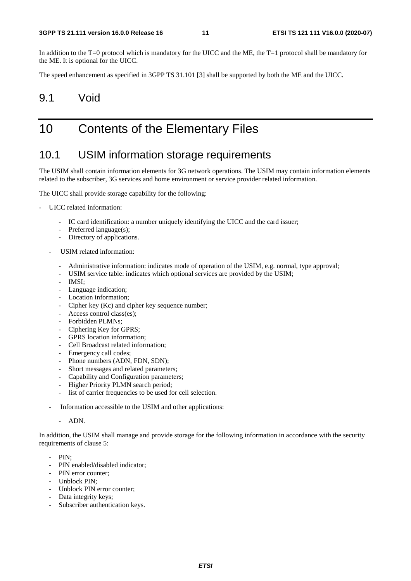In addition to the T=0 protocol which is mandatory for the UICC and the ME, the T=1 protocol shall be mandatory for the ME. It is optional for the UICC.

The speed enhancement as specified in 3GPP TS 31.101 [3] shall be supported by both the ME and the UICC.

### 9.1 Void

# 10 Contents of the Elementary Files

### 10.1 USIM information storage requirements

The USIM shall contain information elements for 3G network operations. The USIM may contain information elements related to the subscriber, 3G services and home environment or service provider related information.

The UICC shall provide storage capability for the following:

- UICC related information:
	- IC card identification: a number uniquely identifying the UICC and the card issuer;
	- Preferred language(s);
	- Directory of applications.
	- USIM related information:
		- Administrative information: indicates mode of operation of the USIM, e.g. normal, type approval;
		- USIM service table: indicates which optional services are provided by the USIM;
		- IMSI;
		- Language indication;
		- Location information;
		- Cipher key (Kc) and cipher key sequence number;
		- Access control class(es);
		- Forbidden PLMNs;
		- Ciphering Key for GPRS:
		- GPRS location information:
		- Cell Broadcast related information;
		- Emergency call codes;
		- Phone numbers (ADN, FDN, SDN);
		- Short messages and related parameters;
		- Capability and Configuration parameters;
		- Higher Priority PLMN search period;
		- list of carrier frequencies to be used for cell selection.
	- Information accessible to the USIM and other applications:
		- ADN.

In addition, the USIM shall manage and provide storage for the following information in accordance with the security requirements of clause 5:

- PIN;
- PIN enabled/disabled indicator;
- PIN error counter:
- Unblock PIN;
- Unblock PIN error counter;
- Data integrity keys;
- Subscriber authentication keys.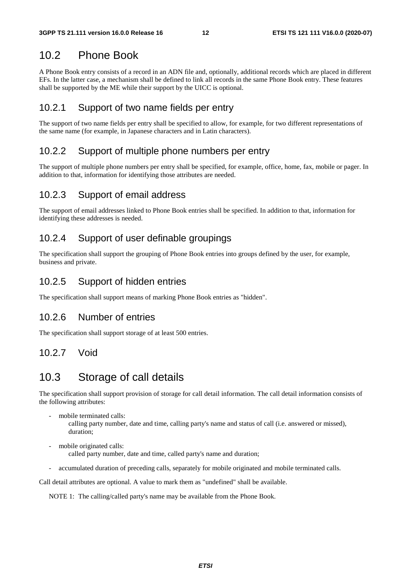# 10.2 Phone Book

A Phone Book entry consists of a record in an ADN file and, optionally, additional records which are placed in different EFs. In the latter case, a mechanism shall be defined to link all records in the same Phone Book entry. These features shall be supported by the ME while their support by the UICC is optional.

#### 10.2.1 Support of two name fields per entry

The support of two name fields per entry shall be specified to allow, for example, for two different representations of the same name (for example, in Japanese characters and in Latin characters).

#### 10.2.2 Support of multiple phone numbers per entry

The support of multiple phone numbers per entry shall be specified, for example, office, home, fax, mobile or pager. In addition to that, information for identifying those attributes are needed.

#### 10.2.3 Support of email address

The support of email addresses linked to Phone Book entries shall be specified. In addition to that, information for identifying these addresses is needed.

#### 10.2.4 Support of user definable groupings

The specification shall support the grouping of Phone Book entries into groups defined by the user, for example, business and private.

#### 10.2.5 Support of hidden entries

The specification shall support means of marking Phone Book entries as "hidden".

#### 10.2.6 Number of entries

The specification shall support storage of at least 500 entries.

#### 10.2.7 Void

# 10.3 Storage of call details

The specification shall support provision of storage for call detail information. The call detail information consists of the following attributes:

mobile terminated calls:

 calling party number, date and time, calling party's name and status of call (i.e. answered or missed), duration;

mobile originated calls:

called party number, date and time, called party's name and duration;

- accumulated duration of preceding calls, separately for mobile originated and mobile terminated calls.

Call detail attributes are optional. A value to mark them as "undefined" shall be available.

NOTE 1: The calling/called party's name may be available from the Phone Book.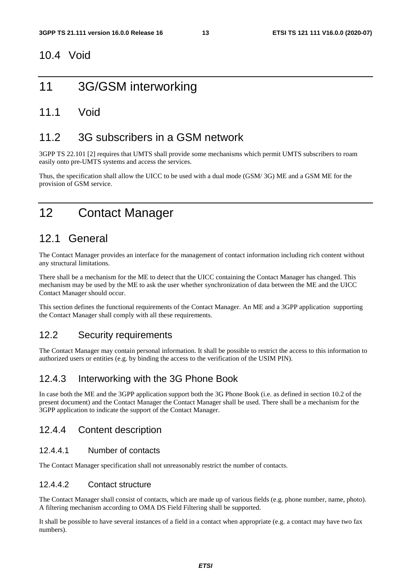### 10.4 Void

# 11 3G/GSM interworking

### 11.1 Void

# 11.2 3G subscribers in a GSM network

3GPP TS 22.101 [2] requires that UMTS shall provide some mechanisms which permit UMTS subscribers to roam easily onto pre-UMTS systems and access the services.

Thus, the specification shall allow the UICC to be used with a dual mode (GSM/ 3G) ME and a GSM ME for the provision of GSM service.

# 12 Contact Manager

# 12.1 General

The Contact Manager provides an interface for the management of contact information including rich content without any structural limitations.

There shall be a mechanism for the ME to detect that the UICC containing the Contact Manager has changed. This mechanism may be used by the ME to ask the user whether synchronization of data between the ME and the UICC Contact Manager should occur.

This section defines the functional requirements of the Contact Manager. An ME and a 3GPP application supporting the Contact Manager shall comply with all these requirements.

### 12.2 Security requirements

The Contact Manager may contain personal information. It shall be possible to restrict the access to this information to authorized users or entities (e.g. by binding the access to the verification of the USIM PIN).

### 12.4.3 Interworking with the 3G Phone Book

In case both the ME and the 3GPP application support both the 3G Phone Book (i.e. as defined in section 10.2 of the present document) and the Contact Manager the Contact Manager shall be used. There shall be a mechanism for the 3GPP application to indicate the support of the Contact Manager.

### 12.4.4 Content description

#### 12.4.4.1 Number of contacts

The Contact Manager specification shall not unreasonably restrict the number of contacts.

#### 12.4.4.2 Contact structure

The Contact Manager shall consist of contacts, which are made up of various fields (e.g. phone number, name, photo). A filtering mechanism according to OMA DS Field Filtering shall be supported.

It shall be possible to have several instances of a field in a contact when appropriate (e.g. a contact may have two fax numbers).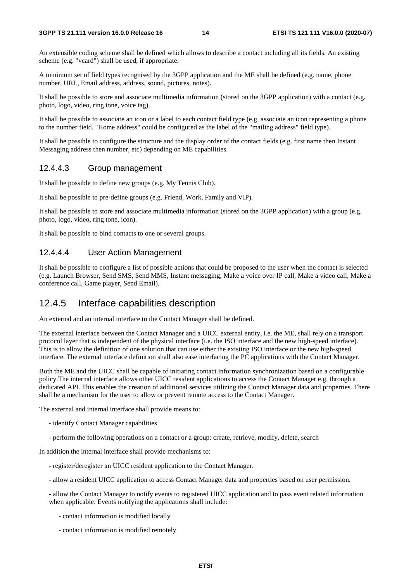An extensible coding scheme shall be defined which allows to describe a contact including all its fields. An existing scheme (e.g. "vcard") shall be used, if appropriate.

A minimum set of field types recognised by the 3GPP application and the ME shall be defined (e.g. name, phone number, URL, Email address, address, sound, pictures, notes).

It shall be possible to store and associate multimedia information (stored on the 3GPP application) with a contact (e.g. photo, logo, video, ring tone, voice tag).

It shall be possible to associate an icon or a label to each contact field type (e.g. associate an icon representing a phone to the number field. "Home address" could be configured as the label of the "mailing address" field type).

It shall be possible to configure the structure and the display order of the contact fields (e.g. first name then Instant Messaging address then number, etc) depending on ME capabilities.

#### 12.4.4.3 Group management

It shall be possible to define new groups (e.g. My Tennis Club).

It shall be possible to pre-define groups (e.g. Friend, Work, Family and VIP).

It shall be possible to store and associate multimedia information (stored on the 3GPP application) with a group (e.g. photo, logo, video, ring tone, icon).

It shall be possible to bind contacts to one or several groups.

#### 12.4.4.4 User Action Management

It shall be possible to configure a list of possible actions that could be proposed to the user when the contact is selected (e.g. Launch Browser, Send SMS, Send MMS, Instant messaging, Make a voice over IP call, Make a video call, Make a conference call, Game player, Send Email).

#### 12.4.5 Interface capabilities description

An external and an internal interface to the Contact Manager shall be defined.

The external interface between the Contact Manager and a UICC external entity, i.e. the ME, shall rely on a transport protocol layer that is independent of the physical interface (i.e. the ISO interface and the new high-speed interface). This is to allow the definition of one solution that can use either the existing ISO interface or the new high-speed interface. The external interface definition shall also ease interfacing the PC applications with the Contact Manager.

Both the ME and the UICC shall be capable of initiating contact information synchronization based on a configurable policy.The internal interface allows other UICC resident applications to access the Contact Manager e.g. through a dedicated API. This enables the creation of additional services utilizing the Contact Manager data and properties. There shall be a mechanism for the user to allow or prevent remote access to the Contact Manager.

The external and internal interface shall provide means to:

- identify Contact Manager capabilities
- perform the following operations on a contact or a group: create, retrieve, modify, delete, search

In addition the internal interface shall provide mechanisms to:

- register/deregister an UICC resident application to the Contact Manager.
- allow a resident UICC application to access Contact Manager data and properties based on user permission.

- allow the Contact Manager to notify events to registered UICC application and to pass event related information when applicable. Events notifying the applications shall include:

- contact information is modified locally
- contact information is modified remotely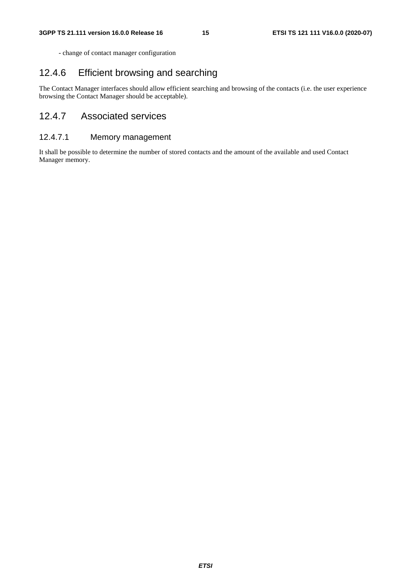- change of contact manager configuration

### 12.4.6 Efficient browsing and searching

The Contact Manager interfaces should allow efficient searching and browsing of the contacts (i.e. the user experience browsing the Contact Manager should be acceptable).

### 12.4.7 Associated services

#### 12.4.7.1 Memory management

It shall be possible to determine the number of stored contacts and the amount of the available and used Contact Manager memory.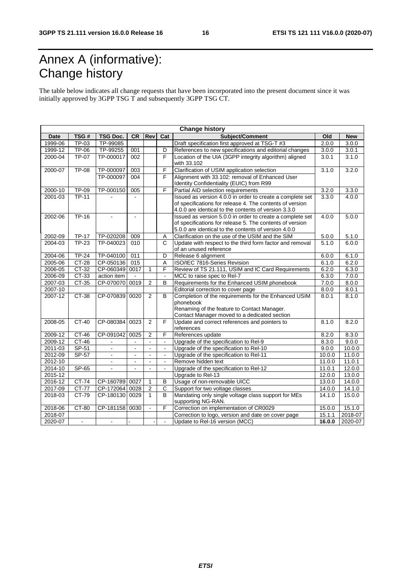# Annex A (informative): Change history

The table below indicates all change requests that have been incorporated into the present document since it was initially approved by 3GPP TSG T and subsequently 3GPP TSG CT.

| <b>Change history</b> |                |                          |                  |                |                       |                                                           |        |            |
|-----------------------|----------------|--------------------------|------------------|----------------|-----------------------|-----------------------------------------------------------|--------|------------|
| Date                  | TSG#           | <b>TSG Doc.</b>          | <b>CR</b>        | Rev            | Cat                   | Subject/Comment                                           | Old    | <b>New</b> |
| 1999-06               | TP-03          | TP-99085                 |                  |                |                       | Draft specification first approved at TSG-T #3            | 2.0.0  | 3.0.0      |
| 1999-12               | TP-06          | TP-99255                 | 001              |                | D                     | References to new specifications and editorial changes    | 3.0.0  | 3.0.1      |
| 2000-04               | <b>TP-07</b>   | TP-000017                | 002              |                | $\overline{F}$        | Location of the UIA (3GPP integrity algorithm) aligned    | 3.0.1  | 3.1.0      |
|                       |                |                          |                  |                |                       | with 33.102                                               |        |            |
| 2000-07               | <b>TP-08</b>   | TP-000097                | 003              |                | F                     | Clarification of USIM application selection               | 3.1.0  | 3.2.0      |
|                       |                | TP-000097                | 004              |                | F                     | Alignment with 33.102: removal of Enhanced User           |        |            |
|                       |                |                          |                  |                |                       | Identity Confidentiality (EUIC) from R99                  |        |            |
| 2000-10               | <b>TP-09</b>   | TP-000150                | 005              |                | F                     | Partial AID selection requirements                        | 3.2.0  | 3.3.0      |
| 2001-03               | <b>TP-11</b>   |                          |                  |                |                       | Issued as version 4.0.0 in order to create a complete set | 3.3.0  | 4.0.0      |
|                       |                |                          |                  |                |                       | of specifications for release 4. The contents of version  |        |            |
|                       |                |                          |                  |                |                       | 4.0.0 are identical to the contents of version 3.3.0      |        |            |
| 2002-06               | TP-16          |                          | $\blacksquare$   |                |                       | Issued as version 5.0.0 in order to create a complete set | 4.0.0  | 5.0.0      |
|                       |                |                          |                  |                |                       | of specifications for release 5. The contents of version  |        |            |
|                       |                |                          |                  |                |                       | 5.0.0 are identical to the contents of version 4.0.0      |        |            |
| 2002-09               | <b>TP-17</b>   | TP-020208                | 009              |                | Α                     | Clarification on the use of the USIM and the SIM          | 5.0.0  | 5.1.0      |
| 2004-03               | <b>TP-23</b>   | TP-040023                | 010              |                | $\mathbf C$           | Update with respect to the third form factor and removal  | 5.1.0  | 6.0.0      |
|                       |                |                          |                  |                |                       | of an unused reference                                    |        |            |
| 2004-06               | $TP-24$        | TP-040100                | 011              |                | $\overline{D}$        | Release 6 alignment                                       | 6.0.0  | 6.1.0      |
| 2005-06               | $CT-28$        | CP-050136                | $\overline{015}$ |                | A                     | ISO/IEC 7816-Series Revision                              | 6.1.0  | 6.2.0      |
| 2006-05               | $CT-32$        | CP-060349                | 0017             | 1              | F                     | Review of TS 21.111, USIM and IC Card Requirements        | 6.2.0  | 6.3.0      |
| 2006-09               | CT-33          | action item              | $\mathbf{r}$     |                | $\sim$                | MCC to raise spec to Rel-7                                | 6.3.0  | 7.0.0      |
| 2007-03               | $CT-35$        | CP-070070                | 0019             | $\overline{2}$ | B                     | Requirements for the Enhanced USIM phonebook              | 7.0.0  | 8.0.0      |
| 2007-10               |                |                          |                  |                |                       | Editorial correction to cover page                        | 8.0.0  | 8.0.1      |
| 2007-12               | $CT-38$        | CP-070839                | 0020             | $\overline{2}$ | $\overline{B}$        | Completion of the requirements for the Enhanced USIM      | 8.0.1  | 8.1.0      |
|                       |                |                          |                  |                |                       | phonebook                                                 |        |            |
|                       |                |                          |                  |                |                       | Renaming of the feature to Contact Manager.               |        |            |
|                       |                |                          |                  |                |                       | Contact Manager moved to a dedicated section              |        |            |
| 2008-05               | $CT-40$        | CP-080384                | 0023             | 2              | F                     | Update and correct references and pointers to             | 8.1.0  | 8.2.0      |
|                       |                |                          |                  |                |                       | references                                                |        |            |
| 2009-12               | $CT-46$        | CP-091042                | 0025             | 2              | F                     | References update                                         | 8.2.0  | 8.3.0      |
| 2009-12               | $CT-46$        | $\blacksquare$           | $\blacksquare$   | $\mathbf{r}$   | $\blacksquare$        | Upgrade of the specification to Rel-9                     | 8.3.0  | 9.0.0      |
| $2011 - 03$           | $SP-51$        |                          |                  |                | ä,                    | Upgrade of the specification to Rel-10                    | 9.0.0  | 10.0.0     |
| 2012-09               | $SP-57$        | $\blacksquare$           | $\blacksquare$   | $\blacksquare$ | $\blacksquare$        | Upgrade of the specification to Rel-11                    | 10.0.0 | 11.0.0     |
| 2012-10               |                | $\blacksquare$           | $\blacksquare$   | $\overline{a}$ | ÷.                    | Remove hidden text                                        | 11.0.0 | 11.0.1     |
| 2014-10               | SP-65          | $\overline{\phantom{a}}$ |                  |                |                       | Upgrade of the specification to Rel-12                    | 11.0.1 | 12.0.0     |
| 2015-12               |                |                          |                  |                |                       | Upgrade to Rel-13                                         | 12.0.0 | 13.0.0     |
| 2016-12               | CT-74          | CP-160789 0027           |                  | 1              | B                     | Usage of non-removable UICC                               | 13.0.0 | 14.0.0     |
| 2017-09               | $CT-77$        | CP-172064                | 0028             | $\overline{2}$ | $\overline{\text{c}}$ | Support for two voltage classes                           | 14.0.0 | 14.1.0     |
| 2018-03               | $CT-79$        | CP-180130                | 0029             | $\mathbf{1}$   | $\overline{B}$        | Mandating only single voltage class support for MEs       | 14.1.0 | 15.0.0     |
|                       |                |                          |                  |                |                       | supporting NG-RAN.                                        |        |            |
| 2018-06               | CT-80          | CP-181158                | 0030             |                | F                     | Correction on implementation of CR0029                    | 15.0.0 | 15.1.0     |
| 2018-07               |                |                          |                  |                |                       | Correction to logo, version and date on cover page        | 15.1.1 | 2018-07    |
| 2020-07               | $\blacksquare$ | $\blacksquare$           | L,               |                | $\blacksquare$        | Update to Rel-16 version (MCC)                            | 16.0.0 | 2020-07    |